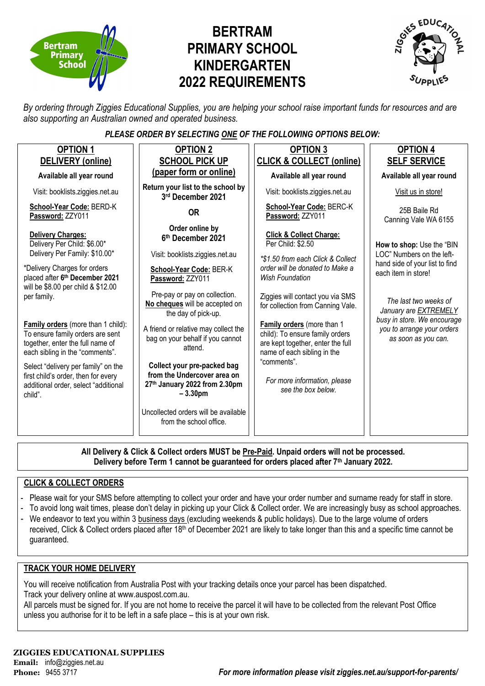

# **BERTRAM PRIMARY SCHOOL KINDERGARTEN 2022 REQUIREMENTS**



*By ordering through Ziggies Educational Supplies, you are helping your school raise important funds for resources and are also supporting an Australian owned and operated business.*

#### *PLEASE ORDER BY SELECTING ONE OF THE FOLLOWING OPTIONS BELOW:*

| <b>OPTION 1</b>                                                                                                                               | <b>OPTION 2</b>                                                                                          | <b>OPTION 3</b>                                                                                                                          | <b>OPTION 4</b>                                                                  |
|-----------------------------------------------------------------------------------------------------------------------------------------------|----------------------------------------------------------------------------------------------------------|------------------------------------------------------------------------------------------------------------------------------------------|----------------------------------------------------------------------------------|
| <b>DELIVERY</b> (online)                                                                                                                      | <b>SCHOOL PICK UP</b>                                                                                    | <b>CLICK &amp; COLLECT (online)</b>                                                                                                      | <b>SELF SERVICE</b>                                                              |
| Available all year round                                                                                                                      | (paper form or online)                                                                                   | Available all year round                                                                                                                 | Available all year round                                                         |
| Visit: booklists.ziggies.net.au                                                                                                               | Return your list to the school by<br>3rd December 2021                                                   | Visit: booklists.ziggies.net.au                                                                                                          | Visit us in store!                                                               |
| School-Year Code: BERD-K<br>Password: ZZY011                                                                                                  | <b>OR</b>                                                                                                | School-Year Code: BERC-K<br>Password: ZZY011                                                                                             | 25B Baile Rd<br>Canning Vale WA 6155                                             |
| Delivery Charges:<br>Delivery Per Child: \$6.00*<br>Delivery Per Family: \$10.00*                                                             | Order online by<br>6th December 2021<br>Visit: booklists.ziggies.net.au                                  | <b>Click &amp; Collect Charge:</b><br>Per Child: \$2.50                                                                                  | How to shop: Use the "BIN<br>LOC" Numbers on the left-                           |
| *Delivery Charges for orders<br>placed after 6th December 2021<br>will be \$8.00 per child & \$12.00                                          | School-Year Code: BER-K<br>Password: ZZY011                                                              | *\$1.50 from each Click & Collect<br>order will be donated to Make a<br><b>Wish Foundation</b>                                           | hand side of your list to find<br>each item in store!                            |
| per family.                                                                                                                                   | Pre-pay or pay on collection.<br>No cheques will be accepted on<br>the day of pick-up.                   | Ziggies will contact you via SMS<br>for collection from Canning Vale.                                                                    | The last two weeks of<br>January are EXTREMELY                                   |
| Family orders (more than 1 child):<br>To ensure family orders are sent<br>together, enter the full name of<br>each sibling in the "comments". | A friend or relative may collect the<br>bag on your behalf if you cannot<br>attend.                      | <b>Family orders</b> (more than 1<br>child): To ensure family orders<br>are kept together, enter the full<br>name of each sibling in the | busy in store. We encourage<br>you to arrange your orders<br>as soon as you can. |
| Select "delivery per family" on the<br>first child's order, then for every<br>additional order, select "additional<br>child".                 | Collect your pre-packed bag<br>from the Undercover area on<br>27th January 2022 from 2.30pm<br>$-3.30pm$ | "comments".<br>For more information, please<br>see the box below.                                                                        |                                                                                  |
|                                                                                                                                               | Uncollected orders will be available<br>from the school office.                                          |                                                                                                                                          |                                                                                  |

**All Delivery & Click & Collect orders MUST be Pre-Paid. Unpaid orders will not be processed. Delivery before Term 1 cannot be guaranteed for orders placed after 7th January 2022.**

#### **CLICK & COLLECT ORDERS**

- Please wait for your SMS before attempting to collect your order and have your order number and surname ready for staff in store.
- To avoid long wait times, please don't delay in picking up your Click & Collect order. We are increasingly busy as school approaches.
- We endeavor to text you within 3 business days (excluding weekends & public holidays). Due to the large volume of orders received, Click & Collect orders placed after 18<sup>th</sup> of December 2021 are likely to take longer than this and a specific time cannot be guaranteed.

#### **TRACK YOUR HOME DELIVERY**

You will receive notification from Australia Post with your tracking details once your parcel has been dispatched. Track your delivery online at www.auspost.com.au.

All parcels must be signed for. If you are not home to receive the parcel it will have to be collected from the relevant Post Office unless you authorise for it to be left in a safe place – this is at your own risk.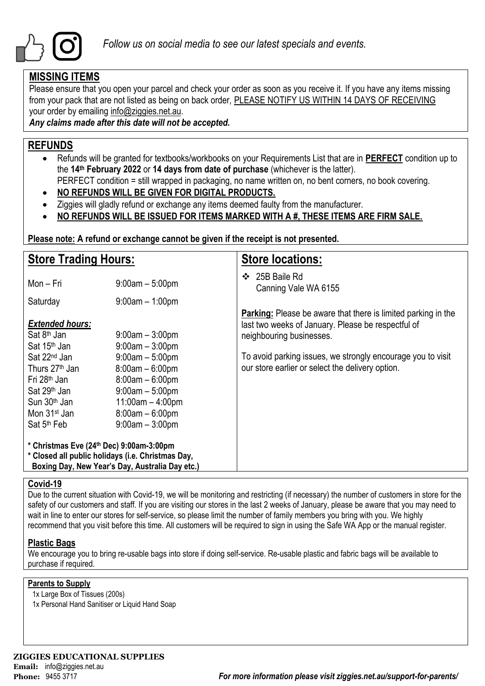

## **MISSING ITEMS**

Please ensure that you open your parcel and check your order as soon as you receive it. If you have any items missing from your pack that are not listed as being on back order, PLEASE NOTIFY US WITHIN 14 DAYS OF RECEIVING your order by emailing info@ziggies.net.au.

*Any claims made after this date will not be accepted.*

## **REFUNDS**

- Refunds will be granted for textbooks/workbooks on your Requirements List that are in **PERFECT** condition up to the **14th February 2022** or **14 days from date of purchase** (whichever is the latter).
	- PERFECT condition = still wrapped in packaging, no name written on, no bent corners, no book covering.
- **NO REFUNDS WILL BE GIVEN FOR DIGITAL PRODUCTS.**
- Ziggies will gladly refund or exchange any items deemed faulty from the manufacturer.
- **NO REFUNDS WILL BE ISSUED FOR ITEMS MARKED WITH A #, THESE ITEMS ARE FIRM SALE.**

**Please note: A refund or exchange cannot be given if the receipt is not presented.**

| <b>Store Trading Hours:</b>                                                                                                                                                                                                                             |                                                                                                                                                                             | <b>Store locations:</b>                                                                                                                                                                                                                                                   |
|---------------------------------------------------------------------------------------------------------------------------------------------------------------------------------------------------------------------------------------------------------|-----------------------------------------------------------------------------------------------------------------------------------------------------------------------------|---------------------------------------------------------------------------------------------------------------------------------------------------------------------------------------------------------------------------------------------------------------------------|
| Mon – Fri                                                                                                                                                                                                                                               | $9:00am - 5:00pm$                                                                                                                                                           | 25B Baile Rd<br>❖<br>Canning Vale WA 6155                                                                                                                                                                                                                                 |
| Saturday                                                                                                                                                                                                                                                | $9:00$ am $-1:00$ pm                                                                                                                                                        |                                                                                                                                                                                                                                                                           |
| <b>Extended hours:</b><br>Sat 8 <sup>th</sup> Jan<br>Sat 15 <sup>th</sup> Jan<br>Sat 22 <sup>nd</sup> Jan<br>Thurs 27 <sup>th</sup> Jan<br>Fri 28 <sup>th</sup> Jan<br>Sat 29 <sup>th</sup> Jan<br>Sun 30 <sup>th</sup> Jan<br>Mon 31 <sup>st</sup> Jan | $9:00$ am $-3:00$ pm<br>$9:00am - 3:00pm$<br>$9:00am - 5:00pm$<br>$8:00am - 6:00pm$<br>$8:00am - 6:00pm$<br>$9:00$ am $-5:00$ pm<br>$11:00am - 4:00pm$<br>$8:00am - 6:00pm$ | <b>Parking:</b> Please be aware that there is limited parking in the<br>last two weeks of January. Please be respectful of<br>neighbouring businesses.<br>To avoid parking issues, we strongly encourage you to visit<br>our store earlier or select the delivery option. |
| Sat 5 <sup>th</sup> Feb                                                                                                                                                                                                                                 | $9:00am - 3:00pm$                                                                                                                                                           |                                                                                                                                                                                                                                                                           |
| * Christmas Eve (24th Dec) 9:00am-3:00pm                                                                                                                                                                                                                | * Closed all public holidays (i.e. Christmas Day,<br>Boxing Day, New Year's Day, Australia Day etc.)                                                                        |                                                                                                                                                                                                                                                                           |

#### **Covid-19**

Due to the current situation with Covid-19, we will be monitoring and restricting (if necessary) the number of customers in store for the safety of our customers and staff. If you are visiting our stores in the last 2 weeks of January, please be aware that you may need to wait in line to enter our stores for self-service, so please limit the number of family members you bring with you. We highly recommend that you visit before this time. All customers will be required to sign in using the Safe WA App or the manual register.

#### **Plastic Bags**

We encourage you to bring re-usable bags into store if doing self-service. Re-usable plastic and fabric bags will be available to purchase if required.

#### **Parents to Supply**

- 1x Large Box of Tissues (200s)
- 1x Personal Hand Sanitiser or Liquid Hand Soap